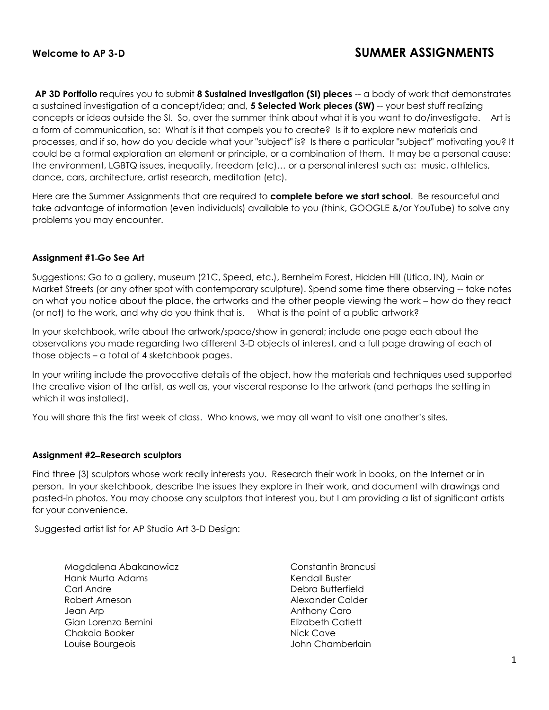**AP 3D Portfolio** requires you to submit **8 Sustained Investigation (SI) pieces** -- a body of work that demonstrates a sustained investigation of a concept/idea; and, **5 Selected Work pieces (SW)** -- your best stuff realizing concepts or ideas outside the SI. So, over the summer think about what it is you want to do/investigate. Art is a form of communication, so: What is it that compels you to create? Is it to explore new materials and processes, and if so, how do you decide what your "subject" is? Is there a particular "subject" motivating you? It could be a formal exploration an element or principle, or a combination of them. It may be a personal cause: the environment, LGBTQ issues, inequality, freedom (etc)… or a personal interest such as: music, athletics, dance, cars, architecture, artist research, meditation (etc).

Here are the Summer Assignments that are required to **complete before we start school**. Be resourceful and take advantage of information (even individuals) available to you (think, GOOGLE &/or YouTube) to solve any problems you may encounter.

## **Assignment #1 ̶Go See Art**

Suggestions: Go to a gallery, museum (21C, Speed, etc.), Bernheim Forest, Hidden Hill (Utica, IN), Main or Market Streets (or any other spot with contemporary sculpture). Spend some time there observing -- take notes on what you notice about the place, the artworks and the other people viewing the work – how do they react (or not) to the work, and why do you think that is. What is the point of a public artwork?

In your sketchbook, write about the artwork/space/show in general; include one page each about the observations you made regarding two different 3-D objects of interest, and a full page drawing of each of those objects – a total of 4 sketchbook pages.

In your writing include the provocative details of the object, how the materials and techniques used supported the creative vision of the artist, as well as, your visceral response to the artwork (and perhaps the setting in which it was installed).

You will share this the first week of class. Who knows, we may all want to visit one another's sites.

### **Assignment #2 ̶Research sculptors**

Find three (3) sculptors whose work really interests you. Research their work in books, on the Internet or in person. In your sketchbook, describe the issues they explore in their work, and document with drawings and pasted-in photos. You may choose any sculptors that interest you, but I am providing a list of significant artists for your convenience.

Suggested artist list for AP Studio Art 3-D Design:

Magdalena Abakanowicz Hank Murta Adams Carl Andre Robert Arneson Jean Arp Gian Lorenzo Bernini Chakaia Booker Louise Bourgeois

Constantin Brancusi Kendall Buster Debra Butterfield Alexander Calder Anthony Caro Elizabeth Catlett Nick Cave John Chamberlain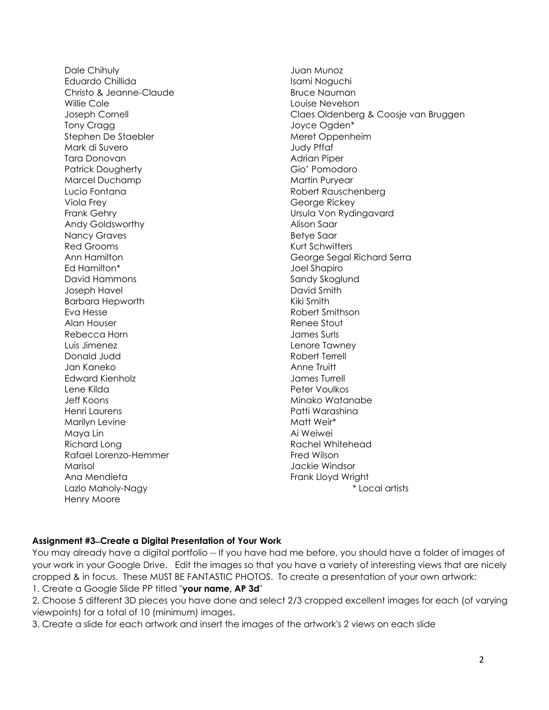Dale Chihuly Eduardo Chillida Christo & Jeanne-Claude Willie Cole Joseph Cornell Tony Cragg Stephen De Staebler Mark di Suvero Tara Donovan Patrick Dougherty Marcel Duchamp Lucio Fontana Viola Frey Frank Gehry Andy Goldsworthy Nancy Graves Red Grooms Ann Hamilton Ed Hamilton\* David Hammons Joseph Havel Barbara Hepworth Eva Hesse Alan Houser Rebecca Horn Luis Jimenez Donald Judd Jan Kaneko Edward Kienholz Lene Kilda Jeff Koons Henri Laurens Marilyn Levine Maya Lin Richard Long Rafael Lorenzo-Hemmer Marisol Ana Mendieta Lazlo Maholy-Nagy Henry Moore

Juan Munoz Isami Noguchi Bruce Nauman Louise Nevelson Claes Oldenberg & Coosje van Bruggen Joyce Ogden\* Meret Oppenheim Judy Pffaf Adrian Piper Gio' Pomodoro Martin Puryear Robert Rauschenberg George Rickey Ursula Von Rydingavard Alison Saar Betye Saar Kurt Schwitters George Segal Richard Serra Joel Shapiro Sandy Skoglund David Smith Kiki Smith Robert Smithson Renee Stout James Surls Lenore Tawney Robert Terrell Anne Truitt James Turrell Peter Voulkos Minako Watanabe Patti Warashina Matt Weir\* Ai Weiwei Rachel Whitehead Fred Wilson Jackie Windsor Frank Lloyd Wright \* Local artists

## **Assignment #3 ̶Create a Digital Presentation of Your Work**

You may already have a digital portfolio -- If you have had me before, you should have a folder of images of your work in your Google Drive. Edit the images so that you have a variety of interesting views that are nicely cropped & in focus. These MUST BE FANTASTIC PHOTOS. To create a presentation of your own artwork: 1. Create a Google Slide PP titled "**your name, AP 3d**"

2. Choose 5 different 3D pieces you have done and select 2/3 cropped excellent images for each (of varying viewpoints) for a total of 10 (minimum) images.

3. Create a slide for each artwork and insert the images of the artwork's 2 views on each slide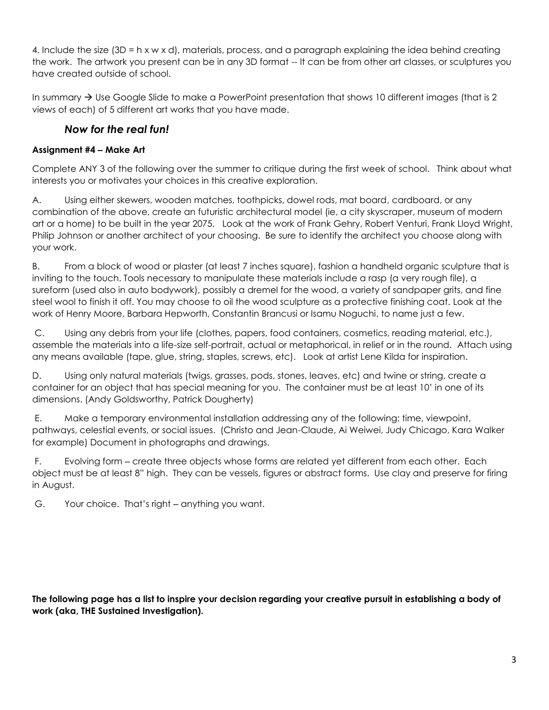4. Include the size (3D = h x w x d), materials, process, and a paragraph explaining the idea behind creating the work. The artwork you present can be in any 3D format -- It can be from other art classes, or sculptures you have created outside of school.

In summary  $\rightarrow$  Use Google Slide to make a PowerPoint presentation that shows 10 different images (that is 2 views of each) of 5 different art works that you have made.

# *Now for the real fun!*

## **Assignment #4 ‒ Make Art**

Complete ANY 3 of the following over the summer to critique during the first week of school. Think about what interests you or motivates your choices in this creative exploration.

A. Using either skewers, wooden matches, toothpicks, dowel rods, mat board, cardboard, or any combination of the above, create an futuristic architectural model (ie, a city skyscraper, museum of modern art or a home) to be built in the year 2075. Look at the work of Frank Gehry, Robert Venturi, Frank Lloyd Wright, Philip Johnson or another architect of your choosing. Be sure to identify the architect you choose along with your work.

B. From a block of wood or plaster (at least 7 inches square), fashion a handheld organic sculpture that is inviting to the touch. Tools necessary to manipulate these materials include a rasp (a very rough file), a sureform (used also in auto bodywork), possibly a dremel for the wood, a variety of sandpaper grits, and fine steel wool to finish it off. You may choose to oil the wood sculpture as a protective finishing coat. Look at the work of Henry Moore, Barbara Hepworth, Constantin Brancusi or Isamu Noguchi, to name just a few.

C. Using any debris from your life (clothes, papers, food containers, cosmetics, reading material, etc.), assemble the materials into a life-size self-portrait, actual or metaphorical, in relief or in the round. Attach using any means available (tape, glue, string, staples, screws, etc). Look at artist Lene Kilda for inspiration.

D. Using only natural materials (twigs, grasses, pods, stones, leaves, etc) and twine or string, create a container for an object that has special meaning for you. The container must be at least 10' in one of its dimensions. (Andy Goldsworthy, Patrick Dougherty)

E. Make a temporary environmental installation addressing any of the following: time, viewpoint, pathways, celestial events, or social issues. (Christo and Jean-Claude, Ai Weiwei, Judy Chicago, Kara Walker for example) Document in photographs and drawings.

F. Evolving form – create three objects whose forms are related yet different from each other. Each object must be at least 8" high. They can be vessels, figures or abstract forms. Use clay and preserve for firing in August.

G. Your choice. That's right – anything you want.

**The following page has a list to inspire your decision regarding your creative pursuit in establishing a body of work (aka, THE Sustained Investigation).**